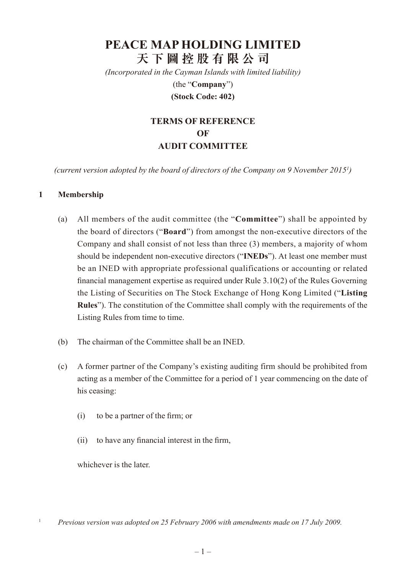# **PEACE MAP HOLDING LIMITED 天 下 圖 控 股 有 限 公 司**

*(Incorporated in the Cayman Islands with limited liability)* (the "**Company**")

#### **(Stock Code: 402)**

# **Terms of Reference of AUDIT COMMITTEE**

*(current version adopted by the board of directors of the Company on 9 November 20151 )*

#### **1 Membership**

- (a) All members of the audit committee (the "**Committee**") shall be appointed by the board of directors ("**Board**") from amongst the non-executive directors of the Company and shall consist of not less than three (3) members, a majority of whom should be independent non-executive directors ("**INEDs**"). At least one member must be an INED with appropriate professional qualifications or accounting or related financial management expertise as required under Rule 3.10(2) of the Rules Governing the Listing of Securities on The Stock Exchange of Hong Kong Limited ("**Listing Rules**"). The constitution of the Committee shall comply with the requirements of the Listing Rules from time to time.
- (b) The chairman of the Committee shall be an INED.
- (c) A former partner of the Company's existing auditing firm should be prohibited from acting as a member of the Committee for a period of 1 year commencing on the date of his ceasing:
	- (i) to be a partner of the firm; or
	- (ii) to have any financial interest in the firm,

whichever is the later.

<sup>1</sup> *Previous version was adopted on 25 February 2006 with amendments made on 17 July 2009.*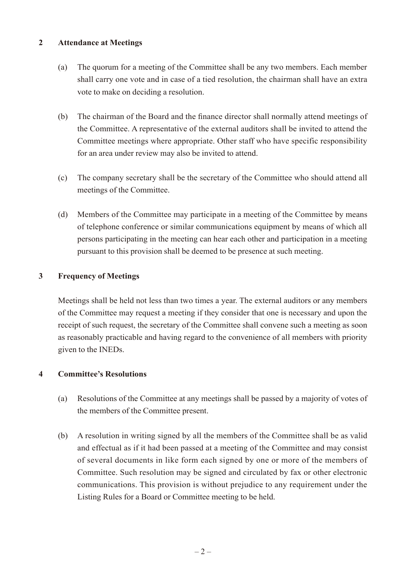#### **2 Attendance at Meetings**

- (a) The quorum for a meeting of the Committee shall be any two members. Each member shall carry one vote and in case of a tied resolution, the chairman shall have an extra vote to make on deciding a resolution.
- (b) The chairman of the Board and the finance director shall normally attend meetings of the Committee. A representative of the external auditors shall be invited to attend the Committee meetings where appropriate. Other staff who have specific responsibility for an area under review may also be invited to attend.
- (c) The company secretary shall be the secretary of the Committee who should attend all meetings of the Committee.
- (d) Members of the Committee may participate in a meeting of the Committee by means of telephone conference or similar communications equipment by means of which all persons participating in the meeting can hear each other and participation in a meeting pursuant to this provision shall be deemed to be presence at such meeting.

# **3 Frequency of Meetings**

Meetings shall be held not less than two times a year. The external auditors or any members of the Committee may request a meeting if they consider that one is necessary and upon the receipt of such request, the secretary of the Committee shall convene such a meeting as soon as reasonably practicable and having regard to the convenience of all members with priority given to the INEDs.

# **4 Committee's Resolutions**

- (a) Resolutions of the Committee at any meetings shall be passed by a majority of votes of the members of the Committee present.
- (b) A resolution in writing signed by all the members of the Committee shall be as valid and effectual as if it had been passed at a meeting of the Committee and may consist of several documents in like form each signed by one or more of the members of Committee. Such resolution may be signed and circulated by fax or other electronic communications. This provision is without prejudice to any requirement under the Listing Rules for a Board or Committee meeting to be held.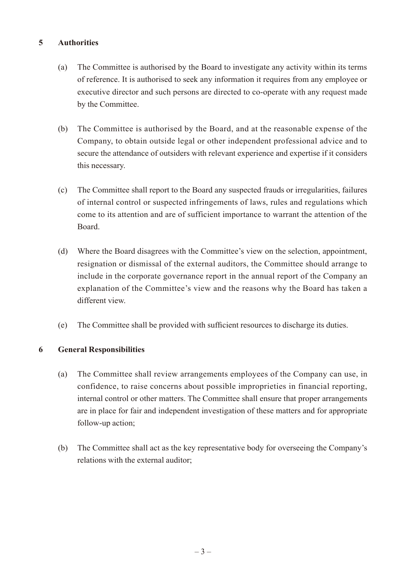# **5 Authorities**

- (a) The Committee is authorised by the Board to investigate any activity within its terms of reference. It is authorised to seek any information it requires from any employee or executive director and such persons are directed to co-operate with any request made by the Committee.
- (b) The Committee is authorised by the Board, and at the reasonable expense of the Company, to obtain outside legal or other independent professional advice and to secure the attendance of outsiders with relevant experience and expertise if it considers this necessary.
- (c) The Committee shall report to the Board any suspected frauds or irregularities, failures of internal control or suspected infringements of laws, rules and regulations which come to its attention and are of sufficient importance to warrant the attention of the Board.
- (d) Where the Board disagrees with the Committee's view on the selection, appointment, resignation or dismissal of the external auditors, the Committee should arrange to include in the corporate governance report in the annual report of the Company an explanation of the Committee's view and the reasons why the Board has taken a different view.
- (e) The Committee shall be provided with sufficient resources to discharge its duties.

#### **6 General Responsibilities**

- (a) The Committee shall review arrangements employees of the Company can use, in confidence, to raise concerns about possible improprieties in financial reporting, internal control or other matters. The Committee shall ensure that proper arrangements are in place for fair and independent investigation of these matters and for appropriate follow-up action;
- (b) The Committee shall act as the key representative body for overseeing the Company's relations with the external auditor;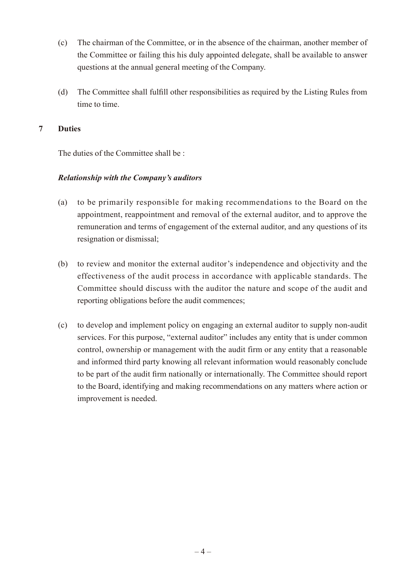- (c) The chairman of the Committee, or in the absence of the chairman, another member of the Committee or failing this his duly appointed delegate, shall be available to answer questions at the annual general meeting of the Company.
- (d) The Committee shall fulfill other responsibilities as required by the Listing Rules from time to time.

### **7 Duties**

The duties of the Committee shall be :

# *Relationship with the Company's auditors*

- (a) to be primarily responsible for making recommendations to the Board on the appointment, reappointment and removal of the external auditor, and to approve the remuneration and terms of engagement of the external auditor, and any questions of its resignation or dismissal;
- (b) to review and monitor the external auditor's independence and objectivity and the effectiveness of the audit process in accordance with applicable standards. The Committee should discuss with the auditor the nature and scope of the audit and reporting obligations before the audit commences;
- (c) to develop and implement policy on engaging an external auditor to supply non-audit services. For this purpose, "external auditor" includes any entity that is under common control, ownership or management with the audit firm or any entity that a reasonable and informed third party knowing all relevant information would reasonably conclude to be part of the audit firm nationally or internationally. The Committee should report to the Board, identifying and making recommendations on any matters where action or improvement is needed.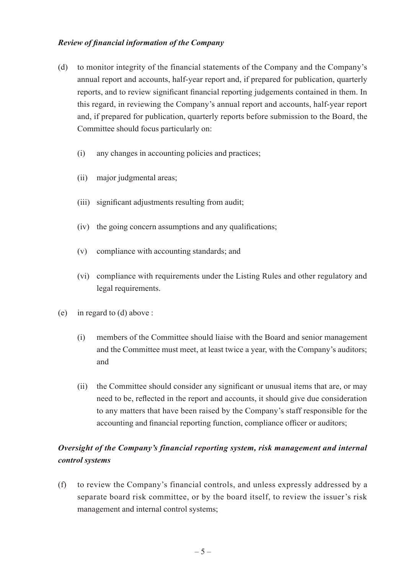### *Review of financial information of the Company*

- (d) to monitor integrity of the financial statements of the Company and the Company's annual report and accounts, half-year report and, if prepared for publication, quarterly reports, and to review significant financial reporting judgements contained in them. In this regard, in reviewing the Company's annual report and accounts, half-year report and, if prepared for publication, quarterly reports before submission to the Board, the Committee should focus particularly on:
	- (i) any changes in accounting policies and practices;
	- (ii) major judgmental areas;
	- (iii) significant adjustments resulting from audit;
	- (iv) the going concern assumptions and any qualifications;
	- (v) compliance with accounting standards; and
	- (vi) compliance with requirements under the Listing Rules and other regulatory and legal requirements.
- (e) in regard to (d) above :
	- (i) members of the Committee should liaise with the Board and senior management and the Committee must meet, at least twice a year, with the Company's auditors; and
	- (ii) the Committee should consider any significant or unusual items that are, or may need to be, reflected in the report and accounts, it should give due consideration to any matters that have been raised by the Company's staff responsible for the accounting and financial reporting function, compliance officer or auditors;

# *Oversight of the Company's financial reporting system, risk management and internal control systems*

(f) to review the Company's financial controls, and unless expressly addressed by a separate board risk committee, or by the board itself, to review the issuer's risk management and internal control systems;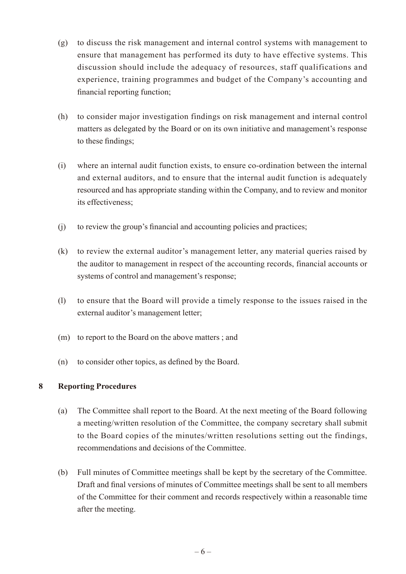- (g) to discuss the risk management and internal control systems with management to ensure that management has performed its duty to have effective systems. This discussion should include the adequacy of resources, staff qualifications and experience, training programmes and budget of the Company's accounting and financial reporting function;
- (h) to consider major investigation findings on risk management and internal control matters as delegated by the Board or on its own initiative and management's response to these findings;
- (i) where an internal audit function exists, to ensure co-ordination between the internal and external auditors, and to ensure that the internal audit function is adequately resourced and has appropriate standing within the Company, and to review and monitor its effectiveness;
- (j) to review the group's financial and accounting policies and practices;
- (k) to review the external auditor's management letter, any material queries raised by the auditor to management in respect of the accounting records, financial accounts or systems of control and management's response;
- (l) to ensure that the Board will provide a timely response to the issues raised in the external auditor's management letter;
- (m) to report to the Board on the above matters ; and
- (n) to consider other topics, as defined by the Board.

# **8 Reporting Procedures**

- (a) The Committee shall report to the Board. At the next meeting of the Board following a meeting/written resolution of the Committee, the company secretary shall submit to the Board copies of the minutes/written resolutions setting out the findings, recommendations and decisions of the Committee.
- (b) Full minutes of Committee meetings shall be kept by the secretary of the Committee. Draft and final versions of minutes of Committee meetings shall be sent to all members of the Committee for their comment and records respectively within a reasonable time after the meeting.